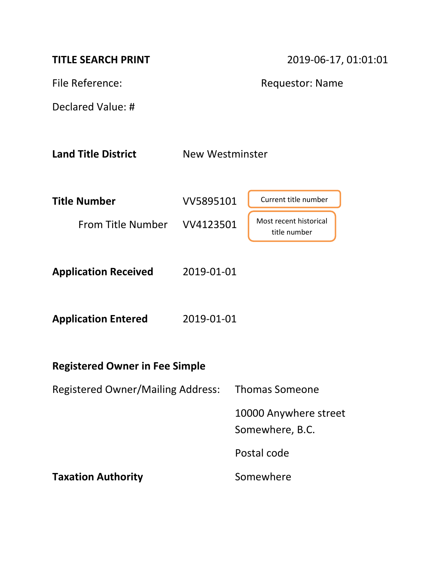| <b>TITLE SEARCH PRINT</b>                |                        | 2019-06-17, 01:01:01                     |  |  |
|------------------------------------------|------------------------|------------------------------------------|--|--|
| File Reference:                          |                        | <b>Requestor: Name</b>                   |  |  |
| Declared Value: #                        |                        |                                          |  |  |
| <b>Land Title District</b>               | <b>New Westminster</b> |                                          |  |  |
| <b>Title Number</b>                      | VV5895101              | Current title number                     |  |  |
| From Title Number VV4123501              |                        | Most recent historical<br>title number   |  |  |
| <b>Application Received</b>              | 2019-01-01             |                                          |  |  |
| <b>Application Entered</b>               | 2019-01-01             |                                          |  |  |
| <b>Registered Owner in Fee Simple</b>    |                        |                                          |  |  |
| <b>Registered Owner/Mailing Address:</b> |                        | <b>Thomas Someone</b>                    |  |  |
|                                          |                        | 10000 Anywhere street<br>Somewhere, B.C. |  |  |
|                                          |                        | Postal code                              |  |  |
| <b>Taxation Authority</b>                |                        | Somewhere                                |  |  |
|                                          |                        |                                          |  |  |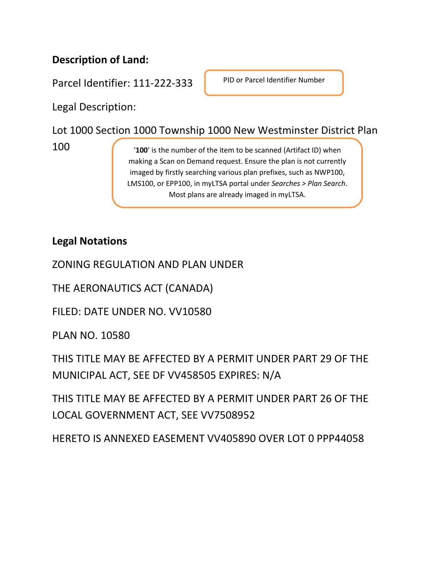## **Description of Land:**

Parcel Identifier: 111-222-333

PID or Parcel Identifier Number

Legal Description:

Lot 1000 Section 1000 Township 1000 New Westminster District Plan

100

'**100**' is the number of the item to be scanned (Artifact ID) when making a Scan on Demand request. Ensure the plan is not currently imaged by firstly searching various plan prefixes, such as NWP100, LMS100, or EPP100, in myLTSA portal under *Searches > Plan Search*. Most plans are already imaged in myLTSA.

**Legal Notations**

ZONING REGULATION AND PLAN UNDER

THE AERONAUTICS ACT (CANADA)

FILED: DATE UNDER NO. VV10580

PLAN NO. 10580

THIS TITLE MAY BE AFFECTED BY A PERMIT UNDER PART 29 OF THE MUNICIPAL ACT, SEE DF VV458505 EXPIRES: N/A

THIS TITLE MAY BE AFFECTED BY A PERMIT UNDER PART 26 OF THE LOCAL GOVERNMENT ACT, SEE VV7508952

HERETO IS ANNEXED EASEMENT VV405890 OVER LOT 0 PPP44058